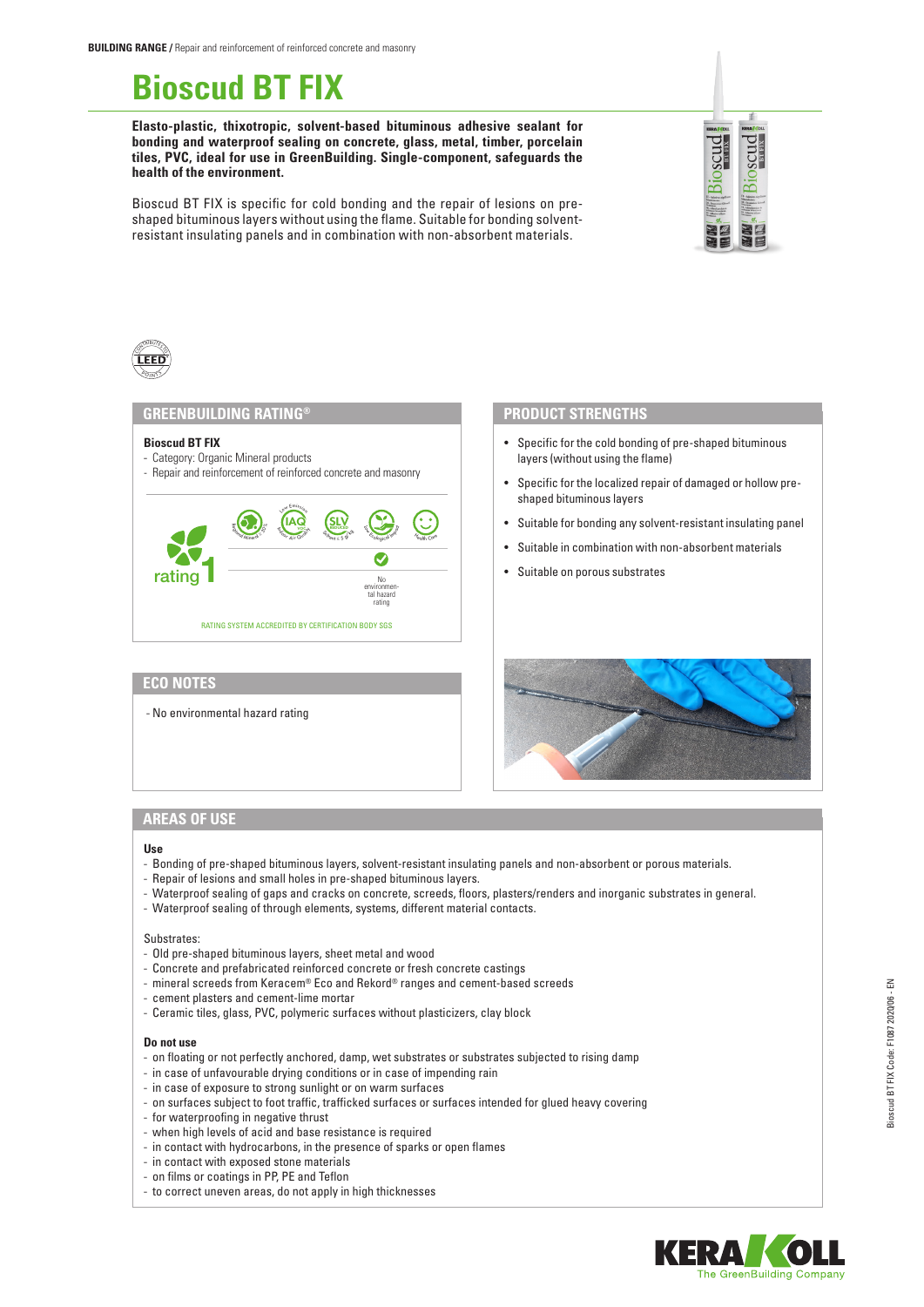# **Bioscud BT FIX**

**Elasto-plastic, thixotropic, solvent-based bituminous adhesive sealant for bonding and waterproof sealing on concrete, glass, metal, timber, porcelain tiles, PVC, ideal for use in GreenBuilding. Single-component, safeguards the health of the environment.**



Bioscud BT FIX is specific for cold bonding and the repair of lesions on preshaped bituminous layers without using the flame. Suitable for bonding solventresistant insulating panels and in combination with non-absorbent materials.



## **GREENBUILDING RATING®**

#### **Bioscud BT FIX**

- Category: Organic Mineral products
- Repair and reinforcement of reinforced concrete and masonry



# **ECO NOTES**

- No environmental hazard rating

#### **PRODUCT STRENGTHS**

- Specific for the cold bonding of pre-shaped bituminous layers (without using the flame)
- Specific for the localized repair of damaged or hollow preshaped bituminous layers
- Suitable for bonding any solvent-resistant insulating panel
- Suitable in combination with non-absorbent materials
- Suitable on porous substrates



# **AREAS OF USE**

#### **Use**

- Bonding of pre-shaped bituminous layers, solvent-resistant insulating panels and non-absorbent or porous materials.
- Repair of lesions and small holes in pre-shaped bituminous layers.
- Waterproof sealing of gaps and cracks on concrete, screeds, floors, plasters/renders and inorganic substrates in general.
- Waterproof sealing of through elements, systems, different material contacts.

#### Substrates:

- Old pre-shaped bituminous layers, sheet metal and wood
- Concrete and prefabricated reinforced concrete or fresh concrete castings
- mineral screeds from Keracem® Eco and Rekord® ranges and cement-based screeds
- cement plasters and cement-lime mortar
- Ceramic tiles, glass, PVC, polymeric surfaces without plasticizers, clay block

#### **Do not use**

- on floating or not perfectly anchored, damp, wet substrates or substrates subjected to rising damp
- in case of unfavourable drying conditions or in case of impending rain
- in case of exposure to strong sunlight or on warm surfaces
- on surfaces subject to foot traffic, trafficked surfaces or surfaces intended for glued heavy covering
- for waterproofing in negative thrust
- when high levels of acid and base resistance is required
- in contact with hydrocarbons, in the presence of sparks or open flames
- in contact with exposed stone materials
- on films or coatings in PP, PE and Teflon
- to correct uneven areas, do not apply in high thicknesses

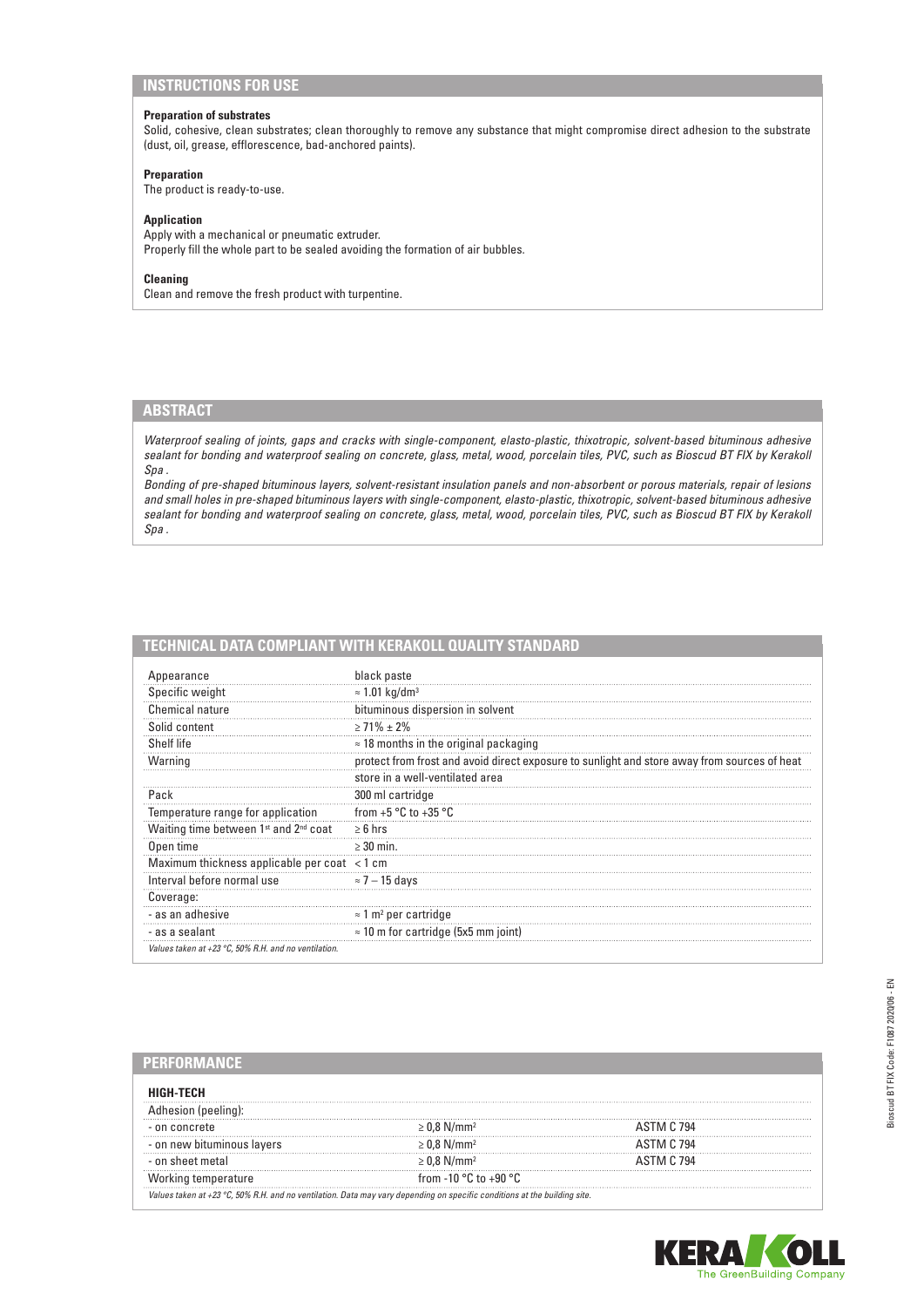# **INSTRUCTIONS FOR USE**

## **Preparation of substrates**

Solid, cohesive, clean substrates; clean thoroughly to remove any substance that might compromise direct adhesion to the substrate (dust, oil, grease, efflorescence, bad-anchored paints).

### **Preparation**

The product is ready-to-use.

## **Application**

Apply with a mechanical or pneumatic extruder. Properly fill the whole part to be sealed avoiding the formation of air bubbles.

## **Cleaning**

Clean and remove the fresh product with turpentine.

# **ABSTRACT**

*Waterproof sealing of joints, gaps and cracks with single-component, elasto-plastic, thixotropic, solvent-based bituminous adhesive sealant for bonding and waterproof sealing on concrete, glass, metal, wood, porcelain tiles, PVC, such as Bioscud BT FIX by Kerakoll Spa .*

*Bonding of pre-shaped bituminous layers, solvent-resistant insulation panels and non-absorbent or porous materials, repair of lesions and small holes in pre-shaped bituminous layers with single-component, elasto-plastic, thixotropic, solvent-based bituminous adhesive sealant for bonding and waterproof sealing on concrete, glass, metal, wood, porcelain tiles, PVC, such as Bioscud BT FIX by Kerakoll Spa .*

| TECHNICAL DATA COMPLIANT WITH KERAKOLL QUALITY STANDARD |
|---------------------------------------------------------|
|---------------------------------------------------------|

| Appearance                                                    | black paste                                                                                  |
|---------------------------------------------------------------|----------------------------------------------------------------------------------------------|
| Specific weight                                               | $\approx$ 1.01 kg/dm <sup>3</sup>                                                            |
| <b>Chemical nature</b>                                        | bituminous dispersion in solvent                                                             |
| Solid content                                                 | $\geq$ 71% $\pm$ 2%                                                                          |
| Shelf life                                                    | $\approx$ 18 months in the original packaging                                                |
| Warning                                                       | protect from frost and avoid direct exposure to sunlight and store away from sources of heat |
|                                                               | store in a well-ventilated area                                                              |
| Pack                                                          | 300 ml cartridge                                                                             |
| Temperature range for application                             | from $+5$ °C to $+35$ °C                                                                     |
| Waiting time between 1 <sup>st</sup> and 2 <sup>nd</sup> coat | $\geq 6$ hrs                                                                                 |
| Open time                                                     | $\geq$ 30 min.                                                                               |
| Maximum thickness applicable per coat <1 cm                   |                                                                                              |
| Interval before normal use                                    | $\approx$ 7 – 15 days                                                                        |
| Coverage:                                                     |                                                                                              |
| - as an adhesive                                              | $\approx$ 1 m <sup>2</sup> per cartridge                                                     |
| - as a sealant                                                | $\approx$ 10 m for cartridge (5x5 mm joint)                                                  |
| Values taken at +23 °C, 50% R.H. and no ventilation.          |                                                                                              |

| HIGH-TECH                  |                                                                                                                                     |                   |  |
|----------------------------|-------------------------------------------------------------------------------------------------------------------------------------|-------------------|--|
| lhesion (peeling):         |                                                                                                                                     |                   |  |
| - on concrete              | 1.8 N/mm <sup>2</sup>                                                                                                               | ASTM C 794        |  |
| - on new bituminous lavers | $.8$ N/mm <sup>2</sup>                                                                                                              | <b>ASTM C 794</b> |  |
| - on sheet metal           | $> 0.8$ N/mm <sup>2</sup>                                                                                                           | ASTM C 794        |  |
| Working temperature        | from -10 $^{\circ}$ C to +90 $^{\circ}$ C.                                                                                          |                   |  |
|                            | Values taken at +23 $^{\circ}$ C, 50% R.H. and no ventilation. Data may vary depending on specific conditions at the building site. |                   |  |